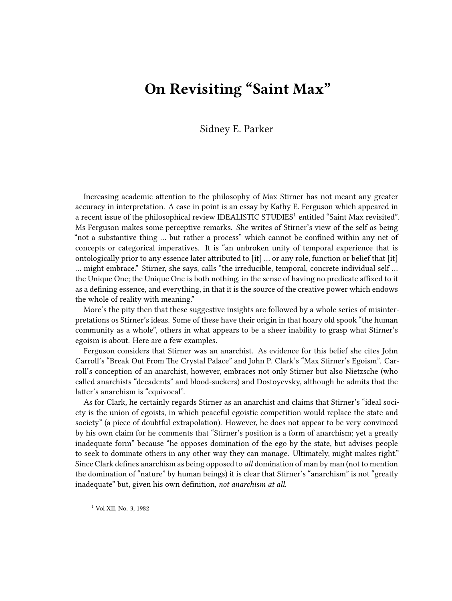## **On Revisiting "Saint Max"**

## Sidney E. Parker

Increasing academic attention to the philosophy of Max Stirner has not meant any greater accuracy in interpretation. A case in point is an essay by Kathy E. Ferguson which appeared in a recent issue of the philosophical review IDEALISTIC STUDIES<sup>1</sup> entitled "Saint Max revisited". Ms Ferguson makes some perceptive remarks. She writes of Stirner's view of the self as being "not a substantive thing … but rather a process" which cannot be confined within any net of concepts or categorical imperatives. It is "an unbroken unity of temporal experience that is ontologically prior to any essence later attributed to [it] … or any role, function or belief that [it] … might embrace." Stirner, she says, calls "the irreducible, temporal, concrete individual self … the Unique One; the Unique One is both nothing, in the sense of having no predicate affixed to it as a defining essence, and everything, in that it is the source of the creative power which endows the whole of reality with meaning."

More's the pity then that these suggestive insights are followed by a whole series of misinterpretations os Stirner's ideas. Some of these have their origin in that hoary old spook "the human community as a whole", others in what appears to be a sheer inability to grasp what Stirner's egoism is about. Here are a few examples.

Ferguson considers that Stirner was an anarchist. As evidence for this belief she cites John Carroll's "Break Out From The Crystal Palace" and John P. Clark's "Max Stirner's Egoism". Carroll's conception of an anarchist, however, embraces not only Stirner but also Nietzsche (who called anarchists "decadents" and blood-suckers) and Dostoyevsky, although he admits that the latter's anarchism is "equivocal".

As for Clark, he certainly regards Stirner as an anarchist and claims that Stirner's "ideal society is the union of egoists, in which peaceful egoistic competition would replace the state and society" (a piece of doubtful extrapolation). However, he does not appear to be very convinced by his own claim for he comments that "Stirner's position is a form of anarchism; yet a greatly inadequate form" because "he opposes domination of the ego by the state, but advises people to seek to dominate others in any other way they can manage. Ultimately, might makes right." Since Clark defines anarchism as being opposed to *all* domination of man by man (not to mention the domination of "nature" by human beings) it is clear that Stirner's "anarchism" is not "greatly inadequate" but, given his own definition, *not anarchism at all*.

<sup>1</sup> Vol XII, No. 3, 1982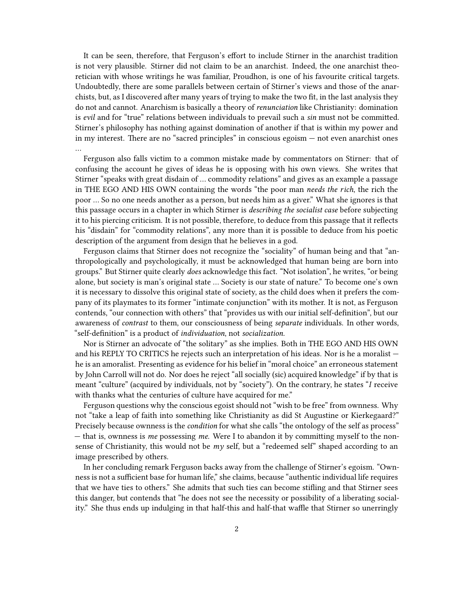It can be seen, therefore, that Ferguson's effort to include Stirner in the anarchist tradition is not very plausible. Stirner did not claim to be an anarchist. Indeed, the one anarchist theoretician with whose writings he was familiar, Proudhon, is one of his favourite critical targets. Undoubtedly, there are some parallels between certain of Stirner's views and those of the anarchists, but, as I discovered after many years of trying to make the two fit, in the last analysis they do not and cannot. Anarchism is basically a theory of *renunciation* like Christianity: domination is *evil* and for "true" relations between individuals to prevail such a *sin* must not be committed. Stirner's philosophy has nothing against domination of another if that is within my power and in my interest. There are no "sacred principles" in conscious egoism — not even anarchist ones …

Ferguson also falls victim to a common mistake made by commentators on Stirner: that of confusing the account he gives of ideas he is opposing with his own views. She writes that Stirner "speaks with great disdain of … commodity relations" and gives as an example a passage in THE EGO AND HIS OWN containing the words "the poor man *needs the rich*, the rich the poor … So no one needs another as a person, but needs him as a giver." What she ignores is that this passage occurs in a chapter in which Stirner is *describing the socialist case* before subjecting it to his piercing criticism. It is not possible, therefore, to deduce from this passage that it reflects his "disdain" for "commodity relations", any more than it is possible to deduce from his poetic description of the argument from design that he believes in a god.

Ferguson claims that Stirner does not recognize the "sociality" of human being and that "anthropologically and psychologically, it must be acknowledged that human being are born into groups." But Stirner quite clearly *does* acknowledge this fact. "Not isolation", he writes, "or being alone, but society is man's original state … Society is our state of nature." To become one's own it is necessary to dissolve this original state of society, as the child does when it prefers the company of its playmates to its former "intimate conjunction" with its mother. It is not, as Ferguson contends, "our connection with others" that "provides us with our initial self-definition", but our awareness of *contrast* to them, our consciousness of being *separate* individuals. In other words, "self-definition" is a product of *individuation*, not *socialization*.

Nor is Stirner an advocate of "the solitary" as she implies. Both in THE EGO AND HIS OWN and his REPLY TO CRITICS he rejects such an interpretation of his ideas. Nor is he a moralist he is an amoralist. Presenting as evidence for his belief in "moral choice" an erroneous statement by John Carroll will not do. Nor does he reject "all socially (sic) acquired knowledge" if by that is meant "culture" (acquired by individuals, not by "society"). On the contrary, he states "*I* receive with thanks what the centuries of culture have acquired for me."

Ferguson questions why the conscious egoist should not "wish to be free" from ownness. Why not "take a leap of faith into something like Christianity as did St Augustine or Kierkegaard?" Precisely because ownness is the *condition* for what she calls "the ontology of the self as process" — that is, ownness is *me* possessing *me*. Were I to abandon it by committing myself to the nonsense of Christianity, this would not be *my* self, but a "redeemed self" shaped according to an image prescribed by others.

In her concluding remark Ferguson backs away from the challenge of Stirner's egoism. "Ownness is not a sufficient base for human life," she claims, because "authentic individual life requires that we have ties to others." She admits that such ties can become stifling and that Stirner sees this danger, but contends that "he does not see the necessity or possibility of a liberating sociality." She thus ends up indulging in that half-this and half-that waffle that Stirner so unerringly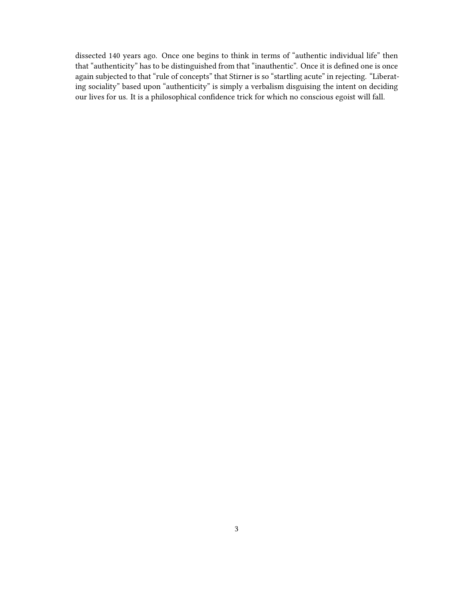dissected 140 years ago. Once one begins to think in terms of "authentic individual life" then that "authenticity" has to be distinguished from that "inauthentic". Once it is defined one is once again subjected to that "rule of concepts" that Stirner is so "startling acute" in rejecting. "Liberating sociality" based upon "authenticity" is simply a verbalism disguising the intent on deciding our lives for us. It is a philosophical confidence trick for which no conscious egoist will fall.